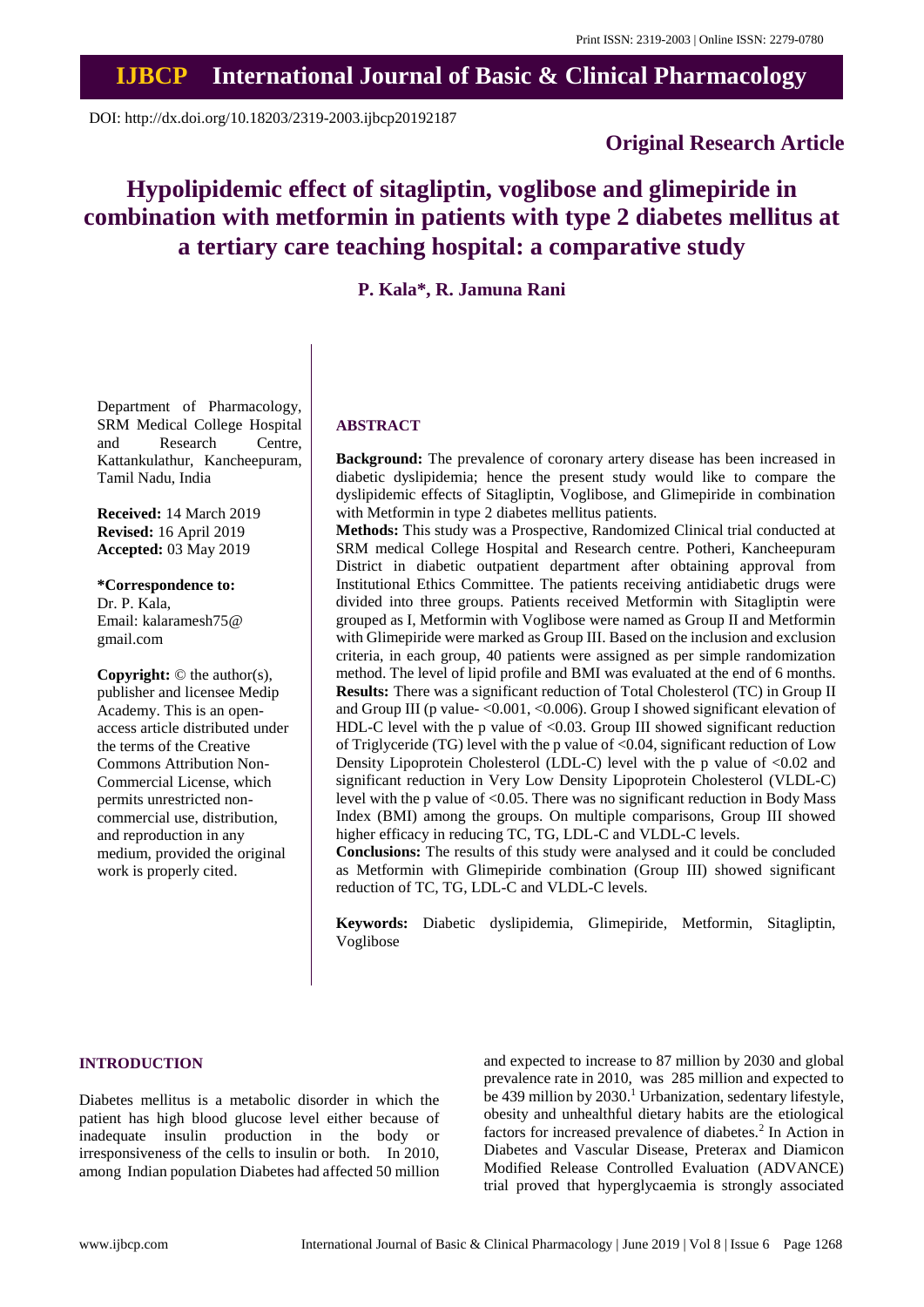## **IJBCP International Journal of Basic & Clinical Pharmacology**

DOI: http://dx.doi.org/10.18203/2319-2003.ijbcp20192187

### **Original Research Article**

# **Hypolipidemic effect of sitagliptin, voglibose and glimepiride in combination with metformin in patients with type 2 diabetes mellitus at a tertiary care teaching hospital: a comparative study**

## **P. Kala\*, R. Jamuna Rani**

Department of Pharmacology, SRM Medical College Hospital and Research Centre, Kattankulathur, Kancheepuram, Tamil Nadu, India

**Received:** 14 March 2019 **Revised:** 16 April 2019 **Accepted:** 03 May 2019

**\*Correspondence to:** Dr. P. Kala, Email: kalaramesh75@ gmail.com

**Copyright:** © the author(s), publisher and licensee Medip Academy. This is an openaccess article distributed under the terms of the Creative Commons Attribution Non-Commercial License, which permits unrestricted noncommercial use, distribution, and reproduction in any medium, provided the original work is properly cited.

#### **ABSTRACT**

**Background:** The prevalence of coronary artery disease has been increased in diabetic dyslipidemia; hence the present study would like to compare the dyslipidemic effects of Sitagliptin, Voglibose, and Glimepiride in combination with Metformin in type 2 diabetes mellitus patients.

**Methods:** This study was a Prospective, Randomized Clinical trial conducted at SRM medical College Hospital and Research centre. Potheri, Kancheepuram District in diabetic outpatient department after obtaining approval from Institutional Ethics Committee. The patients receiving antidiabetic drugs were divided into three groups. Patients received Metformin with Sitagliptin were grouped as I, Metformin with Voglibose were named as Group II and Metformin with Glimepiride were marked as Group III. Based on the inclusion and exclusion criteria, in each group, 40 patients were assigned as per simple randomization method. The level of lipid profile and BMI was evaluated at the end of 6 months. **Results:** There was a significant reduction of Total Cholesterol (TC) in Group II and Group III (p value- $\langle 0.001, \langle 0.006 \rangle$ ). Group I showed significant elevation of HDL-C level with the p value of <0.03. Group III showed significant reduction of Triglyceride (TG) level with the p value of  $\leq 0.04$ , significant reduction of Low Density Lipoprotein Cholesterol (LDL-C) level with the p value of <0.02 and significant reduction in Very Low Density Lipoprotein Cholesterol (VLDL-C) level with the p value of <0.05. There was no significant reduction in Body Mass Index (BMI) among the groups. On multiple comparisons, Group III showed higher efficacy in reducing TC, TG, LDL-C and VLDL-C levels.

**Conclusions:** The results of this study were analysed and it could be concluded as Metformin with Glimepiride combination (Group III) showed significant reduction of TC, TG, LDL-C and VLDL-C levels.

**Keywords:** Diabetic dyslipidemia, Glimepiride, Metformin, Sitagliptin, Voglibose

#### **INTRODUCTION**

Diabetes mellitus is a metabolic disorder in which the patient has high blood glucose level either because of inadequate insulin production in the body or irresponsiveness of the cells to insulin or both. In 2010, among Indian population Diabetes had affected 50 million

and expected to increase to 87 million by 2030 and global prevalence rate in 2010, was 285 million and expected to be 439 million by 2030.<sup>1</sup> Urbanization, sedentary lifestyle, obesity and unhealthful dietary habits are the etiological factors for increased prevalence of diabetes.<sup>2</sup> In Action in Diabetes and Vascular Disease, Preterax and Diamicon Modified Release Controlled Evaluation (ADVANCE) trial proved that hyperglycaemia is strongly associated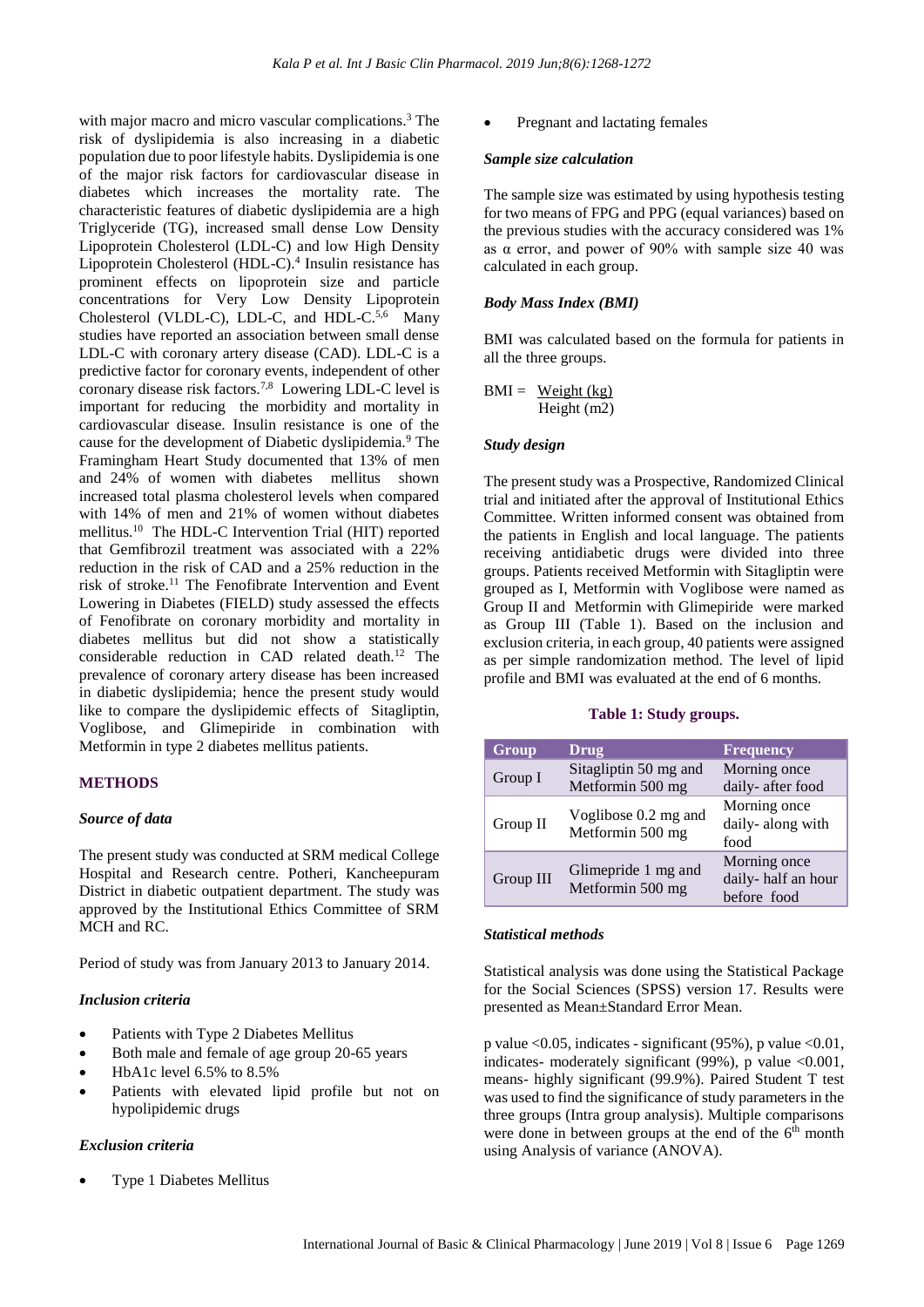with major macro and micro vascular complications.<sup>3</sup> The risk of dyslipidemia is also increasing in a diabetic population due to poor lifestyle habits. Dyslipidemia is one of the major risk factors for cardiovascular disease in diabetes which increases the mortality rate. The characteristic features of diabetic dyslipidemia are a high Triglyceride (TG), increased small dense Low Density Lipoprotein Cholesterol (LDL-C) and low High Density Lipoprotein Cholesterol (HDL-C).<sup>4</sup> Insulin resistance has prominent effects on lipoprotein size and particle concentrations for Very Low Density Lipoprotein Cholesterol (VLDL-C), LDL-C, and HDL-C.<sup>5,6</sup> Many studies have reported an association between small dense LDL-C with coronary artery disease (CAD). LDL-C is a predictive factor for coronary events, independent of other coronary disease risk factors.<sup>7,8</sup> Lowering LDL-C level is important for reducing the morbidity and mortality in cardiovascular disease. Insulin resistance is one of the cause for the development of Diabetic dyslipidemia.<sup>9</sup> The Framingham Heart Study documented that 13% of men and 24% of women with diabetes mellitus shown increased total plasma cholesterol levels when compared with 14% of men and 21% of women without diabetes mellitus.<sup>10</sup> The HDL-C Intervention Trial (HIT) reported that Gemfibrozil treatment was associated with a 22% reduction in the risk of CAD and a 25% reduction in the risk of stroke.<sup>11</sup> The Fenofibrate Intervention and Event Lowering in Diabetes (FIELD) study assessed the effects of Fenofibrate on coronary morbidity and mortality in diabetes mellitus but did not show a statistically considerable reduction in CAD related death.<sup>12</sup> The prevalence of coronary artery disease has been increased in diabetic dyslipidemia; hence the present study would like to compare the dyslipidemic effects of Sitagliptin, Voglibose, and Glimepiride in combination with Metformin in type 2 diabetes mellitus patients.

#### **METHODS**

#### *Source of data*

The present study was conducted at SRM medical College Hospital and Research centre. Potheri, Kancheepuram District in diabetic outpatient department. The study was approved by the Institutional Ethics Committee of SRM MCH and RC.

Period of study was from January 2013 to January 2014.

#### *Inclusion criteria*

- Patients with Type 2 Diabetes Mellitus
- Both male and female of age group 20-65 years
- HbA1c level 6.5% to 8.5%
- Patients with elevated lipid profile but not on hypolipidemic drugs

#### *Exclusion criteria*

• Type 1 Diabetes Mellitus

• Pregnant and lactating females

#### *Sample size calculation*

The sample size was estimated by using hypothesis testing for two means of FPG and PPG (equal variances) based on the previous studies with the accuracy considered was 1% as  $\alpha$  error, and power of 90% with sample size 40 was calculated in each group.

#### *Body Mass Index (BMI)*

BMI was calculated based on the formula for patients in all the three groups.

$$
BMI = \frac{Weight (kg)}{Height (m2)}
$$

#### *Study design*

The present study was a Prospective, Randomized Clinical trial and initiated after the approval of Institutional Ethics Committee. Written informed consent was obtained from the patients in English and local language. The patients receiving antidiabetic drugs were divided into three groups. Patients received Metformin with Sitagliptin were grouped as I, Metformin with Voglibose were named as Group II and Metformin with Glimepiride were marked as Group III (Table 1). Based on the inclusion and exclusion criteria, in each group, 40 patients were assigned as per simple randomization method. The level of lipid profile and BMI was evaluated at the end of 6 months.

#### **Table 1: Study groups.**

| Group     | <b>Drug</b>                               | <b>Frequency</b>                                  |
|-----------|-------------------------------------------|---------------------------------------------------|
| Group I   | Sitagliptin 50 mg and<br>Metformin 500 mg | Morning once<br>daily-after food                  |
| Group II  | Voglibose 0.2 mg and<br>Metformin 500 mg  | Morning once<br>daily-along with<br>food          |
| Group III | Glimepride 1 mg and<br>Metformin 500 mg   | Morning once<br>daily-half an hour<br>before food |

#### *Statistical methods*

Statistical analysis was done using the Statistical Package for the Social Sciences (SPSS) version 17. Results were presented as Mean±Standard Error Mean.

p value  $\leq 0.05$ , indicates - significant (95%), p value  $\leq 0.01$ , indicates- moderately significant  $(99\%)$ , p value <0.001, means- highly significant (99.9%). Paired Student T test was used to find the significance of study parameters in the three groups (Intra group analysis). Multiple comparisons were done in between groups at the end of the  $6<sup>th</sup>$  month using Analysis of variance (ANOVA).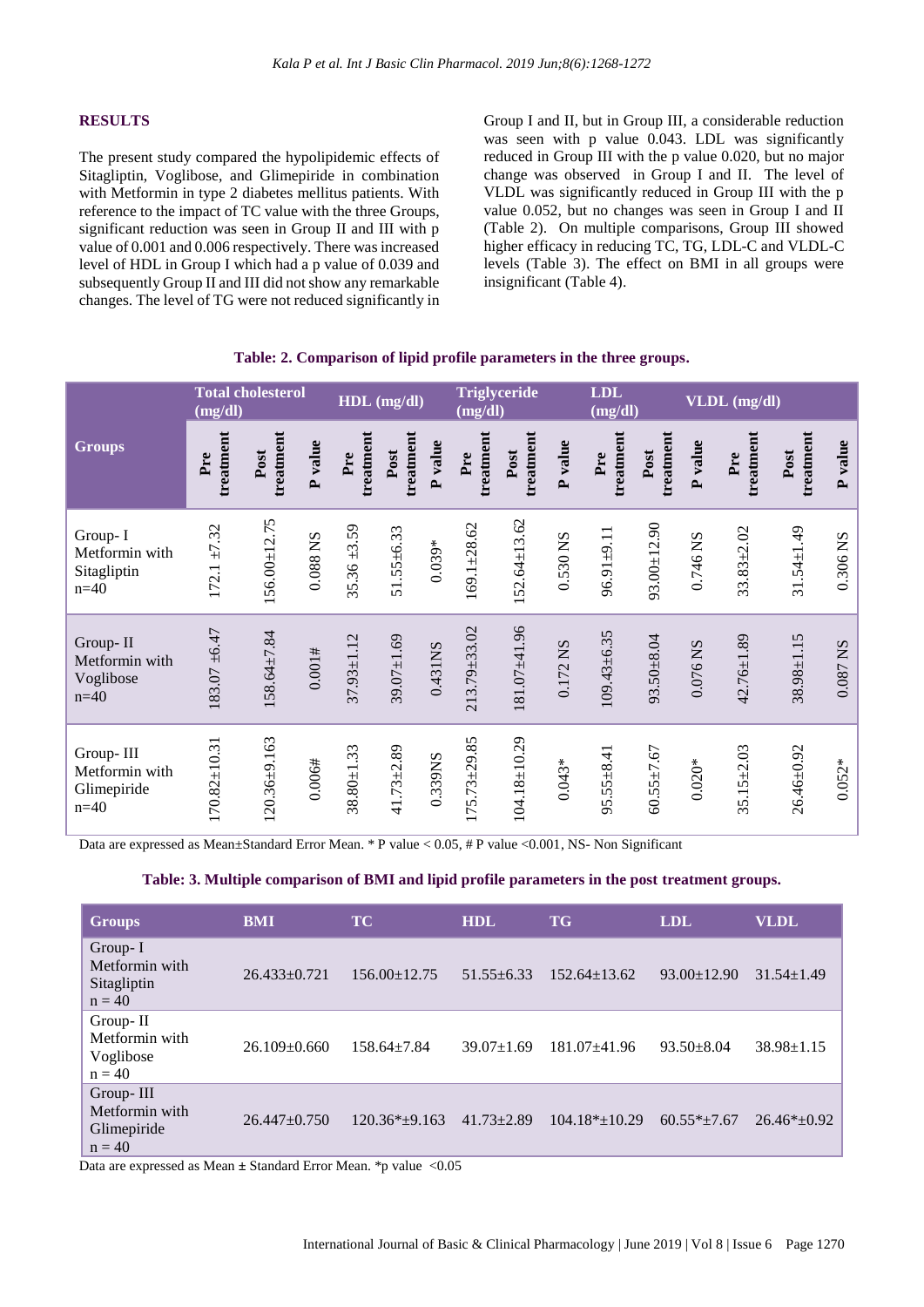#### **RESULTS**

The present study compared the hypolipidemic effects of Sitagliptin, Voglibose, and Glimepiride in combination with Metformin in type 2 diabetes mellitus patients. With reference to the impact of TC value with the three Groups, significant reduction was seen in Group II and III with p value of 0.001 and 0.006 respectively. There was increased level of HDL in Group I which had a p value of 0.039 and subsequently Group II and III did not show any remarkable changes. The level of TG were not reduced significantly in

Group I and II, but in Group III, a considerable reduction was seen with p value 0.043. LDL was significantly reduced in Group III with the p value 0.020, but no major change was observed in Group I and II. The level of VLDL was significantly reduced in Group III with the p value 0.052, but no changes was seen in Group I and II (Table 2). On multiple comparisons, Group III showed higher efficacy in reducing TC, TG, LDL-C and VLDL-C levels (Table 3). The effect on BMI in all groups were insignificant (Table 4).

|  |  | Table: 2. Comparison of lipid profile parameters in the three groups. |  |
|--|--|-----------------------------------------------------------------------|--|
|  |  |                                                                       |  |

|                                                      | <b>Total cholesterol</b><br>(mg/dl) |                   | HDL (mg/dl) |                  | <b>Triglyceride</b><br>(mg/dl) |          | <b>LDL</b><br>(mg/dl) |                    | VLDL (mg/dl) |                   |                   |          |                  |                   |          |
|------------------------------------------------------|-------------------------------------|-------------------|-------------|------------------|--------------------------------|----------|-----------------------|--------------------|--------------|-------------------|-------------------|----------|------------------|-------------------|----------|
| <b>Groups</b>                                        | treatment<br>Pre                    | treatment<br>Post | P value     | treatment<br>Pre | treatment<br>Post              | P value  | treatment<br>Pre      | treatment<br>Post  | P value      | treatment<br>Pre  | treatment<br>Post | P value  | treatment<br>Pre | treatment<br>Post | P value  |
| Group-I<br>Metformin with<br>Sitagliptin<br>$n=40$   | $172.1 \pm 7.32$                    | 156.00±12.75      | 0.088 NS    | $35.36 \pm 3.59$ | $51.55 \pm 6.33$               | $0.039*$ | 169.1±28.62           | $152.64 \pm 13.62$ | 0.530 NS     | $96.91 \pm 9.11$  | $93.00 + 12.90$   | 0.746 NS | $33.83 + 2.02$   | $31.54 \pm 1.49$  | 0.306 NS |
| Group-II<br>Metformin with<br>Voglibose<br>$n=40$    | $183.07 + 6.47$                     | 158.64±7.84       | 0.001#      | $37.93 \pm 1.12$ | $39.07 + 1.69$                 | 0.431NS  | 213.79±33.02          | $181.07 + 41.96$   | 0.172 NS     | $109.43 \pm 6.35$ | 93.50±8.04        | 0.076 NS | 42.76±1.89       | $38.98 \pm 1.15$  | 0.087 NS |
| Group-III<br>Metformin with<br>Glimepiride<br>$n=40$ | $170.82 \pm 10.31$                  | $120.36 + 9.163$  | 0.006#      | $38.80 \pm 1.33$ | $41.73 + 2.89$                 | 0.339NS  | $175.73 + 29.85$      | $104.18 \pm 10.29$ | $0.043*$     | $95.55 \pm 8.41$  | $60.55 \pm 7.67$  | $0.020*$ | $35.15 \pm 2.03$ | $26.46 + 0.92$    | $0.052*$ |

Data are expressed as Mean±Standard Error Mean. \* P value < 0.05, # P value <0.001, NS- Non Significant

#### **Table: 3. Multiple comparison of BMI and lipid profile parameters in the post treatment groups.**

| <b>Groups</b>                                          | <b>BMI</b>         | <b>TC</b>          | <b>HDL</b>       | <b>TG</b>           | <b>LDL</b>        | <b>VLDL</b>      |
|--------------------------------------------------------|--------------------|--------------------|------------------|---------------------|-------------------|------------------|
| Group-I<br>Metformin with<br>Sitagliptin<br>$n = 40$   | $26.433+0.721$     | $156.00 \pm 12.75$ | $51.55 \pm 6.33$ | $152.64 \pm 13.62$  | $93.00 \pm 12.90$ | $31.54 \pm 1.49$ |
| Group-II<br>Metformin with<br>Voglibose<br>$n = 40$    | $26.109 \pm 0.660$ | $158.64 \pm 7.84$  | $39.07 \pm 1.69$ | $181.07 + 41.96$    | $93.50 \pm 8.04$  | $38.98 \pm 1.15$ |
| Group-III<br>Metformin with<br>Glimepiride<br>$n = 40$ | $26.447 \pm 0.750$ | $120.36*+9.163$    | $41.73 \pm 2.89$ | $104.18* \pm 10.29$ | $60.55*+7.67$     | $26.46* + 0.92$  |

Data are expressed as Mean  $\pm$  Standard Error Mean. \*p value <0.05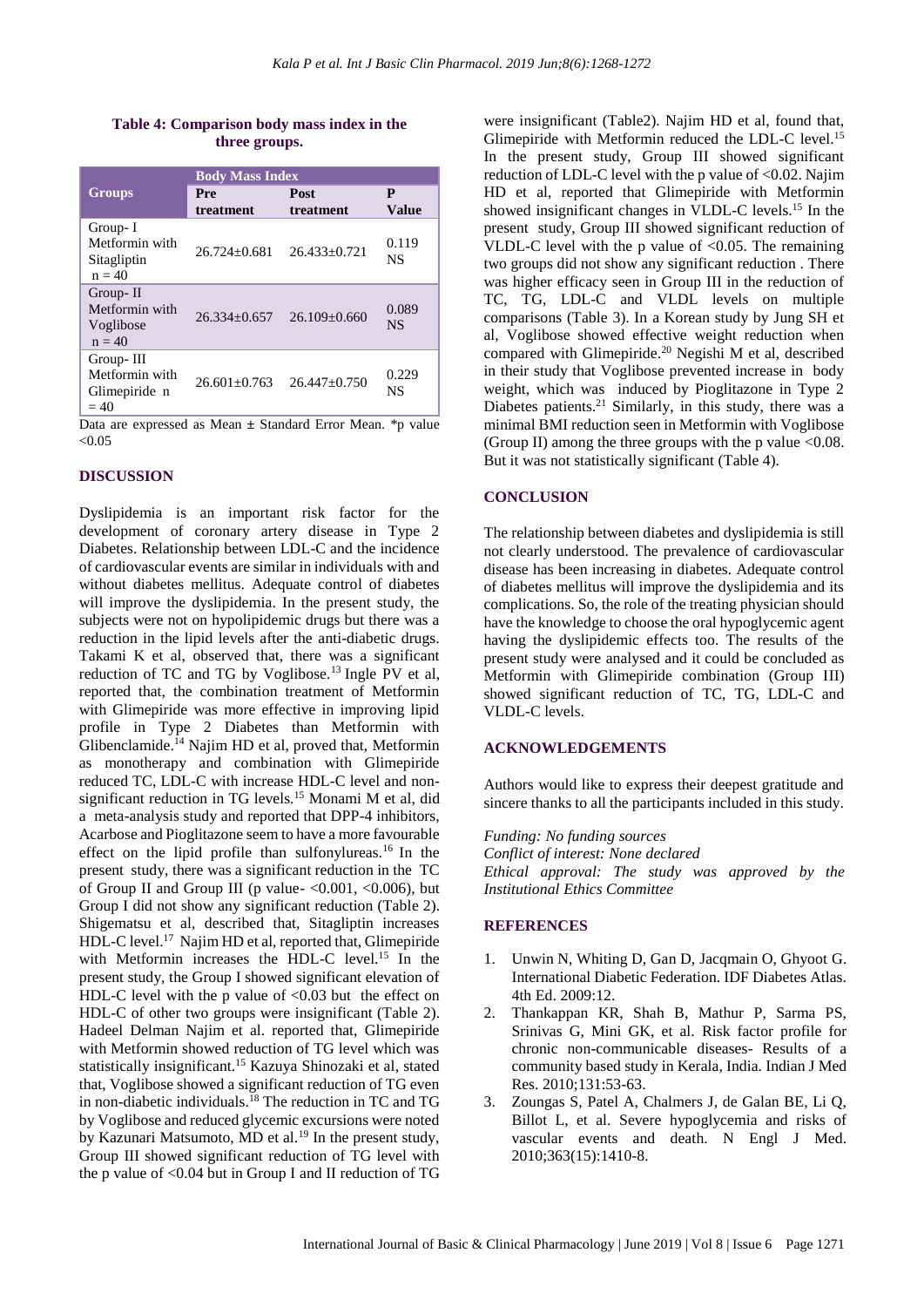#### **Table 4: Comparison body mass index in the three groups.**

|                                                        | <b>Body Mass Index</b> |                    |                   |  |  |  |  |
|--------------------------------------------------------|------------------------|--------------------|-------------------|--|--|--|--|
| <b>Groups</b>                                          | Pre<br>treatment       | Post<br>treatment  | P<br><b>Value</b> |  |  |  |  |
| Group-I<br>Metformin with<br>Sitagliptin<br>$n = 40$   | $26.724 + 0.681$       | $26.433+0.721$     | 0.119<br>NS       |  |  |  |  |
| Group-II<br>Metformin with<br>Voglibose<br>$n = 40$    | $26.334 \pm 0.657$     | $26.109 \pm 0.660$ | 0.089<br>NS.      |  |  |  |  |
| Group-III<br>Metformin with<br>Glimepiride n<br>$= 40$ | $26.601 + 0.763$       | $26.447 \pm 0.750$ | 0.229<br>NS       |  |  |  |  |

Data are expressed as Mean **±** Standard Error Mean. \*p value  $< 0.05$ 

#### **DISCUSSION**

Dyslipidemia is an important risk factor for the development of coronary artery disease in Type 2 Diabetes. Relationship between LDL-C and the incidence of cardiovascular events are similar in individuals with and without diabetes mellitus. Adequate control of diabetes will improve the dyslipidemia. In the present study, the subjects were not on hypolipidemic drugs but there was a reduction in the lipid levels after the anti-diabetic drugs. Takami K et al, observed that, there was a significant reduction of TC and TG by Voglibose.<sup>13</sup> Ingle PV et al, reported that, the combination treatment of Metformin with Glimepiride was more effective in improving lipid profile in Type 2 Diabetes than Metformin with Glibenclamide.<sup>14</sup> Najim HD et al, proved that, Metformin as monotherapy and combination with Glimepiride reduced TC, LDL-C with increase HDL-C level and nonsignificant reduction in TG levels.<sup>15</sup> Monami M et al, did a meta-analysis study and reported that DPP-4 inhibitors, Acarbose and Pioglitazone seem to have a more favourable effect on the lipid profile than sulfonylureas.<sup>16</sup> In the present study, there was a significant reduction in the TC of Group II and Group III (p value- $\langle 0.001, \langle 0.006 \rangle$ , but Group I did not show any significant reduction (Table 2). Shigematsu et al, described that, Sitagliptin increases HDL-C level.<sup>17</sup> Najim HD et al, reported that, Glimepiride with Metformin increases the HDL-C level.<sup>15</sup> In the present study, the Group I showed significant elevation of HDL-C level with the p value of  $< 0.03$  but the effect on HDL-C of other two groups were insignificant (Table 2). Hadeel Delman Najim et al. reported that, Glimepiride with Metformin showed reduction of TG level which was statistically insignificant.<sup>15</sup> Kazuya Shinozaki et al, stated that, Voglibose showed a significant reduction of TG even in non-diabetic individuals.<sup>18</sup> The reduction in TC and TG by Voglibose and reduced glycemic excursions were noted by Kazunari Matsumoto, MD et al.<sup>19</sup> In the present study, Group III showed significant reduction of TG level with the p value of  $< 0.04$  but in Group I and II reduction of TG were insignificant (Table2). Najim HD et al, found that, Glimepiride with Metformin reduced the LDL-C level.<sup>15</sup> In the present study, Group III showed significant reduction of LDL-C level with the p value of <0.02. Najim HD et al, reported that Glimepiride with Metformin showed insignificant changes in VLDL-C levels.<sup>15</sup> In the present study, Group III showed significant reduction of VLDL-C level with the p value of  $< 0.05$ . The remaining two groups did not show any significant reduction . There was higher efficacy seen in Group III in the reduction of TC, TG, LDL-C and VLDL levels on multiple comparisons (Table 3). In a Korean study by Jung SH et al, Voglibose showed effective weight reduction when compared with Glimepiride.<sup>20</sup> Negishi M et al, described in their study that Voglibose prevented increase in body weight, which was induced by Pioglitazone in Type 2 Diabetes patients.<sup>21</sup> Similarly, in this study, there was a minimal BMI reduction seen in Metformin with Voglibose (Group II) among the three groups with the p value  $<0.08$ . But it was not statistically significant (Table 4).

#### **CONCLUSION**

The relationship between diabetes and dyslipidemia is still not clearly understood. The prevalence of cardiovascular disease has been increasing in diabetes. Adequate control of diabetes mellitus will improve the dyslipidemia and its complications. So, the role of the treating physician should have the knowledge to choose the oral hypoglycemic agent having the dyslipidemic effects too. The results of the present study were analysed and it could be concluded as Metformin with Glimepiride combination (Group III) showed significant reduction of TC, TG, LDL-C and VLDL-C levels.

#### **ACKNOWLEDGEMENTS**

Authors would like to express their deepest gratitude and sincere thanks to all the participants included in this study.

*Funding: No funding sources Conflict of interest: None declared Ethical approval: The study was approved by the Institutional Ethics Committee*

#### **REFERENCES**

- 1. Unwin N, Whiting D, Gan D, Jacqmain O, Ghyoot G. International Diabetic Federation. IDF Diabetes Atlas. 4th Ed. 2009:12.
- 2. Thankappan KR, Shah B, Mathur P, Sarma PS, Srinivas G, Mini GK, et al. Risk factor profile for chronic non-communicable diseases- Results of a community based study in Kerala, India. Indian J Med Res. 2010;131:53-63.
- 3. Zoungas S, Patel A, Chalmers J, de Galan BE, Li Q, Billot L, et al. Severe hypoglycemia and risks of vascular events and death. N Engl J Med. 2010;363(15):1410-8.